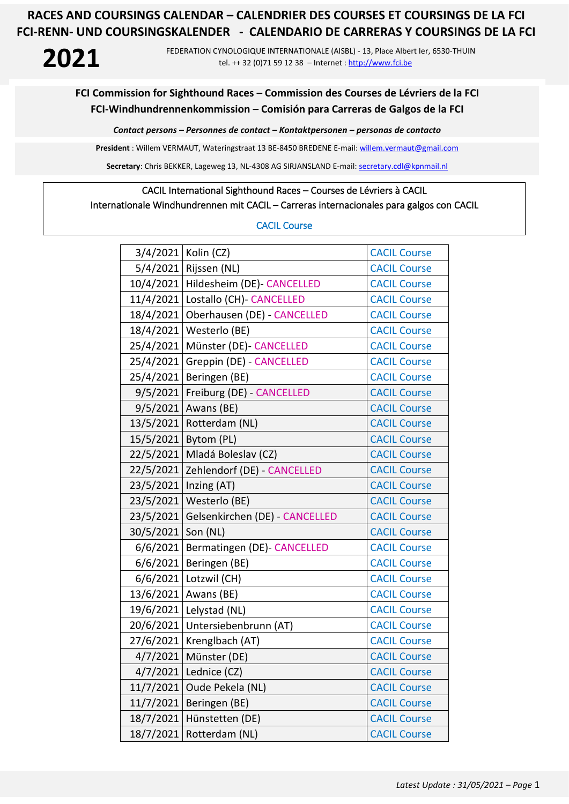# **2021**

FEDERATION CYNOLOGIQUE INTERNATIONALE (AISBL) - 13, Place Albert Ier, 6530-THUIN tel. ++ 32 (0)71 59 12 38 – Internet [: http://www.fci.be](http://www.fci.be/)

#### **FCI Commission for Sighthound Races – Commission des Courses de Lévriers de la FCI FCI-Windhundrennenkommission – Comisión para Carreras de Galgos de la FCI**

*Contact persons – Personnes de contact – Kontaktpersonen – personas de contacto*

**President** : Willem VERMAUT, Wateringstraat 13 BE-8450 BREDENE E-mail: [willem.vermaut@gmail.com](mailto:willem.vermaut@gmail.com) 

Secretary: Chris BEKKER, Lageweg 13, NL-4308 AG SIRJANSLAND E-mail[: secretary.cdl@kpnmail.nl](mailto:secretary.cdl@kpnmail.nl)

# CACIL International Sighthound Races – Courses de Lévriers à CACIL

#### Internationale Windhundrennen mit CACIL – Carreras internacionales para galgos con CACIL

#### CACIL Course

|           | 3/4/2021 Kolin (CZ)            | <b>CACIL Course</b> |
|-----------|--------------------------------|---------------------|
| 5/4/2021  | Rijssen (NL)                   | <b>CACIL Course</b> |
| 10/4/2021 | Hildesheim (DE) CANCELLED      | <b>CACIL Course</b> |
| 11/4/2021 | Lostallo (CH)- CANCELLED       | <b>CACIL Course</b> |
| 18/4/2021 | Oberhausen (DE) - CANCELLED    | <b>CACIL Course</b> |
| 18/4/2021 | Westerlo (BE)                  | <b>CACIL Course</b> |
| 25/4/2021 | Münster (DE)- CANCELLED        | <b>CACIL Course</b> |
| 25/4/2021 | Greppin (DE) - CANCELLED       | <b>CACIL Course</b> |
| 25/4/2021 | Beringen (BE)                  | <b>CACIL Course</b> |
| 9/5/2021  | Freiburg (DE) - CANCELLED      | <b>CACIL Course</b> |
| 9/5/2021  | Awans (BE)                     | <b>CACIL Course</b> |
| 13/5/2021 | Rotterdam (NL)                 | <b>CACIL Course</b> |
|           | 15/5/2021   Bytom (PL)         | <b>CACIL Course</b> |
| 22/5/2021 | Mladá Boleslav (CZ)            | <b>CACIL Course</b> |
| 22/5/2021 | Zehlendorf (DE) - CANCELLED    | <b>CACIL Course</b> |
| 23/5/2021 | Inzing (AT)                    | <b>CACIL Course</b> |
| 23/5/2021 | Westerlo (BE)                  | <b>CACIL Course</b> |
| 23/5/2021 | Gelsenkirchen (DE) - CANCELLED | <b>CACIL Course</b> |
| 30/5/2021 | Son (NL)                       | <b>CACIL Course</b> |
| 6/6/2021  | Bermatingen (DE) CANCELLED     | <b>CACIL Course</b> |
| 6/6/2021  | Beringen (BE)                  | <b>CACIL Course</b> |
| 6/6/2021  | Lotzwil (CH)                   | <b>CACIL Course</b> |
| 13/6/2021 | Awans (BE)                     | <b>CACIL Course</b> |
| 19/6/2021 | Lelystad (NL)                  | <b>CACIL Course</b> |
| 20/6/2021 | Untersiebenbrunn (AT)          | <b>CACIL Course</b> |
| 27/6/2021 | Krenglbach (AT)                | <b>CACIL Course</b> |
| 4/7/2021  | Münster (DE)                   | <b>CACIL Course</b> |
| 4/7/2021  | Lednice (CZ)                   | <b>CACIL Course</b> |
| 11/7/2021 | Oude Pekela (NL)               | <b>CACIL Course</b> |
| 11/7/2021 | Beringen (BE)                  | <b>CACIL Course</b> |
| 18/7/2021 | Hünstetten (DE)                | <b>CACIL Course</b> |
| 18/7/2021 | Rotterdam (NL)                 | <b>CACIL Course</b> |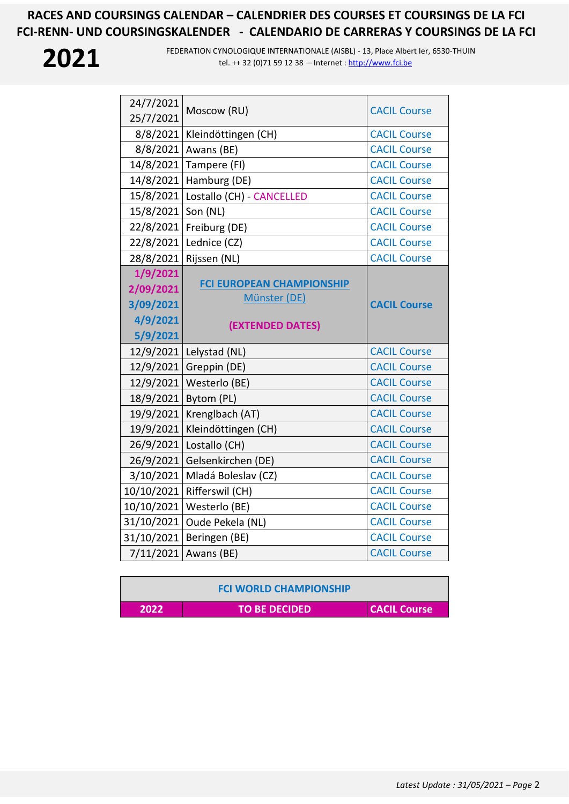

| 24/7/2021<br>25/7/2021 | Moscow (RU)                                      | <b>CACIL Course</b> |
|------------------------|--------------------------------------------------|---------------------|
| 8/8/2021               | Kleindöttingen (CH)                              | <b>CACIL Course</b> |
| 8/8/2021               | Awans (BE)                                       | <b>CACIL Course</b> |
| 14/8/2021              | Tampere (FI)                                     | <b>CACIL Course</b> |
| 14/8/2021              | Hamburg (DE)                                     | <b>CACIL Course</b> |
| 15/8/2021              | Lostallo (CH) - CANCELLED                        | <b>CACIL Course</b> |
| 15/8/2021              | Son (NL)                                         | <b>CACIL Course</b> |
| 22/8/2021              | Freiburg (DE)                                    | <b>CACIL Course</b> |
| 22/8/2021              | Lednice (CZ)                                     | <b>CACIL Course</b> |
| 28/8/2021              | Rijssen (NL)                                     | <b>CACIL Course</b> |
| 1/9/2021               |                                                  |                     |
| 2/09/2021              | <b>FCI EUROPEAN CHAMPIONSHIP</b><br>Münster (DE) |                     |
| 3/09/2021              |                                                  | <b>CACIL Course</b> |
| 4/9/2021               |                                                  |                     |
|                        |                                                  |                     |
| 5/9/2021               | (EXTENDED DATES)                                 |                     |
| 12/9/2021              | Lelystad (NL)                                    | <b>CACIL Course</b> |
|                        | 12/9/2021 Greppin (DE)                           | <b>CACIL Course</b> |
| 12/9/2021              | Westerlo (BE)                                    | <b>CACIL Course</b> |
| 18/9/2021              | Bytom (PL)                                       | <b>CACIL Course</b> |
| 19/9/2021              | Krenglbach (AT)                                  | <b>CACIL Course</b> |
| 19/9/2021              | Kleindöttingen (CH)                              | <b>CACIL Course</b> |
| 26/9/2021              | Lostallo (CH)                                    | <b>CACIL Course</b> |
| 26/9/2021              | Gelsenkirchen (DE)                               | <b>CACIL Course</b> |
| 3/10/2021              | Mladá Boleslav (CZ)                              | <b>CACIL Course</b> |
| 10/10/2021             | Rifferswil (CH)                                  | <b>CACIL Course</b> |
| 10/10/2021             | Westerlo (BE)                                    | <b>CACIL Course</b> |
| 31/10/2021             | Oude Pekela (NL)                                 | <b>CACIL Course</b> |
| 31/10/2021             | Beringen (BE)                                    | <b>CACIL Course</b> |

|      | <b>FCI WORLD CHAMPIONSHIP</b> |                     |
|------|-------------------------------|---------------------|
| 2022 | <b>TO BE DECIDED</b>          | <b>CACIL Course</b> |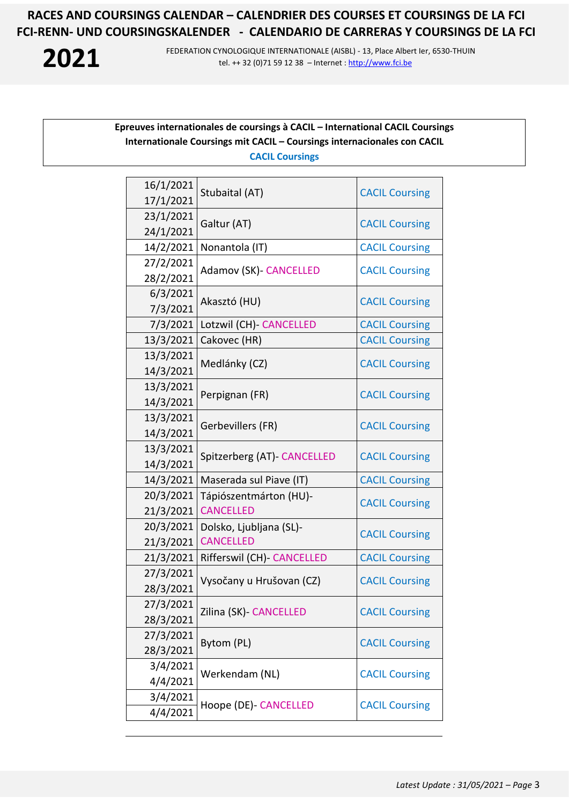**2021**

FEDERATION CYNOLOGIQUE INTERNATIONALE (AISBL) - 13, Place Albert Ier, 6530-THUIN tel. ++ 32 (0)71 59 12 38 – Internet [: http://www.fci.be](http://www.fci.be/)

#### **Epreuves internationales de coursings à CACIL – International CACIL Coursings Internationale Coursings mit CACIL – Coursings internacionales con CACIL CACIL Coursings**

| 16/1/2021              | Stubaital (AT)                | <b>CACIL Coursing</b> |
|------------------------|-------------------------------|-----------------------|
| 17/1/2021              |                               |                       |
| 23/1/2021              | Galtur (AT)                   | <b>CACIL Coursing</b> |
| 24/1/2021              |                               |                       |
| 14/2/2021              | Nonantola (IT)                | <b>CACIL Coursing</b> |
| 27/2/2021              | <b>Adamov (SK)- CANCELLED</b> | <b>CACIL Coursing</b> |
| 28/2/2021              |                               |                       |
| 6/3/2021               | Akasztó (HU)                  | <b>CACIL Coursing</b> |
| 7/3/2021               |                               |                       |
| 7/3/2021               | Lotzwil (CH) - CANCELLED      | <b>CACIL Coursing</b> |
| 13/3/2021<br>13/3/2021 | Cakovec (HR)                  | <b>CACIL Coursing</b> |
| 14/3/2021              | Medlánky (CZ)                 | <b>CACIL Coursing</b> |
| 13/3/2021              |                               |                       |
| 14/3/2021              | Perpignan (FR)                | <b>CACIL Coursing</b> |
| 13/3/2021              | Gerbevillers (FR)             | <b>CACIL Coursing</b> |
| 14/3/2021              |                               |                       |
| 13/3/2021              |                               |                       |
| 14/3/2021              | Spitzerberg (AT) CANCELLED    | <b>CACIL Coursing</b> |
| 14/3/2021              | Maserada sul Piave (IT)       | <b>CACIL Coursing</b> |
| 20/3/2021              | Tápiószentmárton (HU)-        |                       |
| 21/3/2021              | <b>CANCELLED</b>              | <b>CACIL Coursing</b> |
| 20/3/2021              | Dolsko, Ljubljana (SL)-       |                       |
| 21/3/2021              | <b>CANCELLED</b>              | <b>CACIL Coursing</b> |
| 21/3/2021              | Rifferswil (CH)- CANCELLED    | <b>CACIL Coursing</b> |
| 27/3/2021              | Vysočany u Hrušovan (CZ)      | <b>CACIL Coursing</b> |
| 28/3/2021              |                               |                       |
| 27/3/2021              | Zilina (SK) CANCELLED         | <b>CACIL Coursing</b> |
| 28/3/2021              |                               |                       |
| 27/3/2021              | Bytom (PL)                    | <b>CACIL Coursing</b> |
| 28/3/2021              |                               |                       |
| 3/4/2021               | Werkendam (NL)                | <b>CACIL Coursing</b> |
| 4/4/2021               |                               |                       |
| 3/4/2021               | Hoope (DE)- CANCELLED         | <b>CACIL Coursing</b> |
| 4/4/2021               |                               |                       |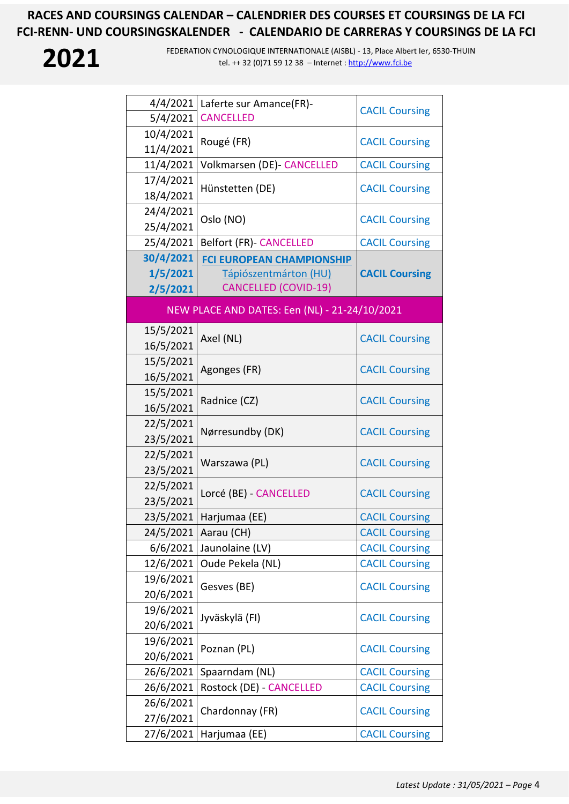

| 4/4/2021<br>5/4/2021              | Laferte sur Amance(FR)-<br><b>CANCELLED</b>                                              | <b>CACIL Coursing</b> |
|-----------------------------------|------------------------------------------------------------------------------------------|-----------------------|
| 10/4/2021<br>11/4/2021            | Rougé (FR)                                                                               | <b>CACIL Coursing</b> |
| 11/4/2021                         | Volkmarsen (DE) CANCELLED                                                                | <b>CACIL Coursing</b> |
| 17/4/2021<br>18/4/2021            | Hünstetten (DE)                                                                          | <b>CACIL Coursing</b> |
| 24/4/2021<br>25/4/2021            | Oslo (NO)                                                                                | <b>CACIL Coursing</b> |
| 25/4/2021                         | <b>Belfort (FR) - CANCELLED</b>                                                          | <b>CACIL Coursing</b> |
| 30/4/2021<br>1/5/2021<br>2/5/2021 | <b>FCI EUROPEAN CHAMPIONSHIP</b><br>Tápiószentmárton (HU)<br><b>CANCELLED (COVID-19)</b> | <b>CACIL Coursing</b> |
|                                   | NEW PLACE AND DATES: Een (NL) - 21-24/10/2021                                            |                       |
| 15/5/2021<br>16/5/2021            | Axel (NL)                                                                                | <b>CACIL Coursing</b> |
| 15/5/2021<br>16/5/2021            | Agonges (FR)                                                                             | <b>CACIL Coursing</b> |
| 15/5/2021<br>16/5/2021            | Radnice (CZ)                                                                             | <b>CACIL Coursing</b> |
| 22/5/2021<br>23/5/2021            | Nørresundby (DK)                                                                         | <b>CACIL Coursing</b> |
| 22/5/2021<br>23/5/2021            | Warszawa (PL)                                                                            | <b>CACIL Coursing</b> |
| 22/5/2021<br>23/5/2021            | Lorcé (BE) - CANCELLED                                                                   | <b>CACIL Coursing</b> |
| 23/5/2021                         | Harjumaa (EE)                                                                            | <b>CACIL Coursing</b> |
| 24/5/2021                         | Aarau (CH)                                                                               | <b>CACIL Coursing</b> |
| 6/6/2021                          | Jaunolaine (LV)                                                                          | <b>CACIL Coursing</b> |
| 12/6/2021                         | Oude Pekela (NL)                                                                         | <b>CACIL Coursing</b> |
| 19/6/2021<br>20/6/2021            | Gesves (BE)                                                                              | <b>CACIL Coursing</b> |
| 19/6/2021<br>20/6/2021            | Jyväskylä (FI)                                                                           | <b>CACIL Coursing</b> |
| 19/6/2021<br>20/6/2021            | Poznan (PL)                                                                              | <b>CACIL Coursing</b> |
| 26/6/2021                         | Spaarndam (NL)                                                                           | <b>CACIL Coursing</b> |
| 26/6/2021                         | Rostock (DE) - CANCELLED                                                                 | <b>CACIL Coursing</b> |
| 26/6/2021<br>27/6/2021            | Chardonnay (FR)                                                                          | <b>CACIL Coursing</b> |
| 27/6/2021                         | Harjumaa (EE)                                                                            | <b>CACIL Coursing</b> |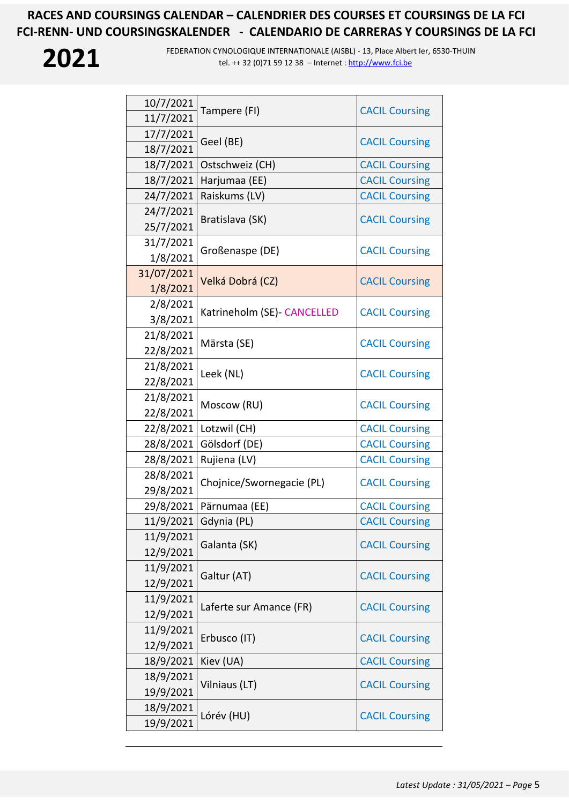

| 10/7/2021  | Tampere (FI)                 | <b>CACIL Coursing</b> |
|------------|------------------------------|-----------------------|
| 11/7/2021  |                              |                       |
| 17/7/2021  | Geel (BE)                    | <b>CACIL Coursing</b> |
| 18/7/2021  |                              |                       |
| 18/7/2021  | Ostschweiz (CH)              | <b>CACIL Coursing</b> |
| 18/7/2021  | Harjumaa (EE)                | <b>CACIL Coursing</b> |
| 24/7/2021  | Raiskums (LV)                | <b>CACIL Coursing</b> |
| 24/7/2021  | Bratislava (SK)              | <b>CACIL Coursing</b> |
| 25/7/2021  |                              |                       |
| 31/7/2021  |                              |                       |
| 1/8/2021   | Großenaspe (DE)              | <b>CACIL Coursing</b> |
| 31/07/2021 |                              |                       |
| 1/8/2021   | Velká Dobrá (CZ)             | <b>CACIL Coursing</b> |
| 2/8/2021   | Katrineholm (SE) - CANCELLED |                       |
| 3/8/2021   |                              | <b>CACIL Coursing</b> |
| 21/8/2021  | Märsta (SE)                  | <b>CACIL Coursing</b> |
| 22/8/2021  |                              |                       |
| 21/8/2021  | Leek (NL)                    | <b>CACIL Coursing</b> |
| 22/8/2021  |                              |                       |
| 21/8/2021  | Moscow (RU)                  | <b>CACIL Coursing</b> |
| 22/8/2021  |                              |                       |
| 22/8/2021  | Lotzwil (CH)                 | <b>CACIL Coursing</b> |
| 28/8/2021  | Gölsdorf (DE)                | <b>CACIL Coursing</b> |
| 28/8/2021  | Rujiena (LV)                 | <b>CACIL Coursing</b> |
| 28/8/2021  | Chojnice/Swornegacie (PL)    | <b>CACIL Coursing</b> |
| 29/8/2021  |                              |                       |
| 29/8/2021  | Pärnumaa (EE)                | <b>CACIL Coursing</b> |
| 11/9/2021  | Gdynia (PL)                  | <b>CACIL Coursing</b> |
| 11/9/2021  | Galanta (SK)                 | <b>CACIL Coursing</b> |
| 12/9/2021  |                              |                       |
| 11/9/2021  | Galtur (AT)                  | <b>CACIL Coursing</b> |
| 12/9/2021  |                              |                       |
| 11/9/2021  | Laferte sur Amance (FR)      | <b>CACIL Coursing</b> |
| 12/9/2021  |                              |                       |
| 11/9/2021  | Erbusco (IT)                 | <b>CACIL Coursing</b> |
| 12/9/2021  |                              |                       |
| 18/9/2021  | Kiev (UA)                    | <b>CACIL Coursing</b> |
| 18/9/2021  | Vilniaus (LT)                | <b>CACIL Coursing</b> |
| 19/9/2021  |                              |                       |
| 18/9/2021  | Lórév (HU)                   | <b>CACIL Coursing</b> |
| 19/9/2021  |                              |                       |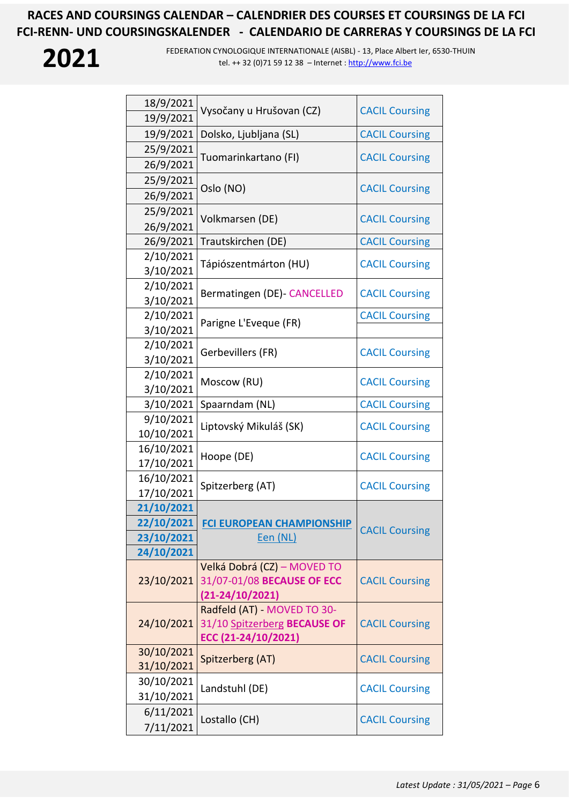

| 18/9/2021  | Vysočany u Hrušovan (CZ)         |                       |
|------------|----------------------------------|-----------------------|
| 19/9/2021  |                                  | <b>CACIL Coursing</b> |
| 19/9/2021  | Dolsko, Ljubljana (SL)           | <b>CACIL Coursing</b> |
| 25/9/2021  |                                  |                       |
| 26/9/2021  | Tuomarinkartano (FI)             | <b>CACIL Coursing</b> |
| 25/9/2021  |                                  | <b>CACIL Coursing</b> |
| 26/9/2021  | Oslo (NO)                        |                       |
| 25/9/2021  |                                  | <b>CACIL Coursing</b> |
| 26/9/2021  | Volkmarsen (DE)                  |                       |
| 26/9/2021  | Trautskirchen (DE)               | <b>CACIL Coursing</b> |
| 2/10/2021  | Tápiószentmárton (HU)            | <b>CACIL Coursing</b> |
| 3/10/2021  |                                  |                       |
| 2/10/2021  | Bermatingen (DE) - CANCELLED     | <b>CACIL Coursing</b> |
| 3/10/2021  |                                  |                       |
| 2/10/2021  | Parigne L'Eveque (FR)            | <b>CACIL Coursing</b> |
| 3/10/2021  |                                  |                       |
| 2/10/2021  | Gerbevillers (FR)                | <b>CACIL Coursing</b> |
| 3/10/2021  |                                  |                       |
| 2/10/2021  | Moscow (RU)                      | <b>CACIL Coursing</b> |
| 3/10/2021  |                                  |                       |
| 3/10/2021  | Spaarndam (NL)                   | <b>CACIL Coursing</b> |
| 9/10/2021  | Liptovský Mikuláš (SK)           | <b>CACIL Coursing</b> |
| 10/10/2021 |                                  |                       |
| 16/10/2021 | Hoope (DE)                       | <b>CACIL Coursing</b> |
| 17/10/2021 |                                  |                       |
| 16/10/2021 | Spitzerberg (AT)                 | <b>CACIL Coursing</b> |
| 17/10/2021 |                                  |                       |
| 21/10/2021 |                                  |                       |
| 22/10/2021 | <b>FCI EUROPEAN CHAMPIONSHIP</b> | <b>CACIL Coursing</b> |
| 23/10/2021 | Een (NL)                         |                       |
| 24/10/2021 | Velká Dobrá (CZ) – MOVED TO      |                       |
| 23/10/2021 | 31/07-01/08 BECAUSE OF ECC       | <b>CACIL Coursing</b> |
|            | $(21-24/10/2021)$                |                       |
|            | Radfeld (AT) MOVED TO 30-        |                       |
| 24/10/2021 | 31/10 Spitzerberg BECAUSE OF     | <b>CACIL Coursing</b> |
|            | ECC (21-24/10/2021)              |                       |
| 30/10/2021 |                                  |                       |
| 31/10/2021 | Spitzerberg (AT)                 | <b>CACIL Coursing</b> |
| 30/10/2021 |                                  |                       |
| 31/10/2021 | Landstuhl (DE)                   | <b>CACIL Coursing</b> |
| 6/11/2021  |                                  |                       |
| 7/11/2021  | Lostallo (CH)                    | <b>CACIL Coursing</b> |